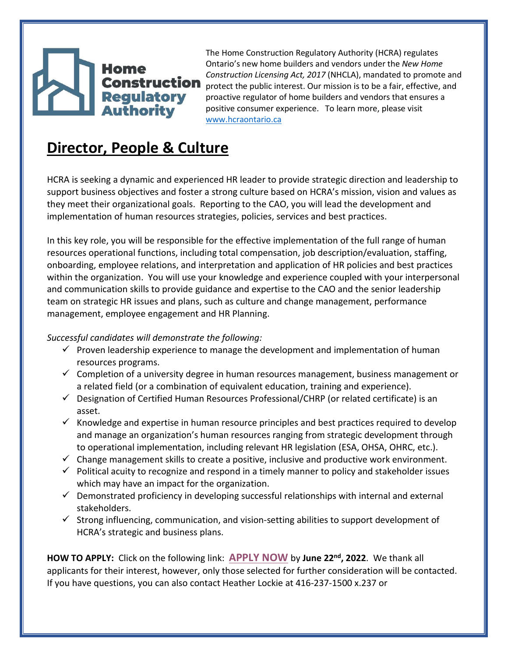## Regulatory<br>Authority

The Home Construction Regulatory Authority (HCRA) regulates Ontario's new home builders and vendors under the *New Home Construction Licensing Act, 2017* (NHCLA), mandated to promote and **Construction** protect the public interest. Our mission is to be a fair, effective, and proactive regulator of home builders and vendors that ensures a positive consumer experience. To learn more, please visit www.hcraontario.ca

## **Director, People & Culture**

HCRA is seeking a dynamic and experienced HR leader to provide strategic direction and leadership to support business objectives and foster a strong culture based on HCRA's mission, vision and values as they meet their organizational goals. Reporting to the CAO, you will lead the development and implementation of human resources strategies, policies, services and best practices.

In this key role, you will be responsible for the effective implementation of the full range of human resources operational functions, including total compensation, job description/evaluation, staffing, onboarding, employee relations, and interpretation and application of HR policies and best practices within the organization. You will use your knowledge and experience coupled with your interpersonal and communication skills to provide guidance and expertise to the CAO and the senior leadership team on strategic HR issues and plans, such as culture and change management, performance management, employee engagement and HR Planning.

## *Successful candidates will demonstrate the following:*

- $\checkmark$  Proven leadership experience to manage the development and implementation of human resources programs.
- $\checkmark$  Completion of a university degree in human resources management, business management or a related field (or a combination of equivalent education, training and experience).
- $\checkmark$  Designation of Certified Human Resources Professional/CHRP (or related certificate) is an asset.
- $\checkmark$  Knowledge and expertise in human resource principles and best practices required to develop and manage an organization's human resources ranging from strategic development through to operational implementation, including relevant HR legislation (ESA, OHSA, OHRC, etc.).
- $\checkmark$  Change management skills to create a positive, inclusive and productive work environment.
- $\checkmark$  Political acuity to recognize and respond in a timely manner to policy and stakeholder issues which may have an impact for the organization.
- $\checkmark$  Demonstrated proficiency in developing successful relationships with internal and external stakeholders.
- $\checkmark$  Strong influencing, communication, and vision-setting abilities to support development of HCRA's strategic and business plans.

**HOW TO APPLY:** Click on the following link: **APPLY NOW** by **June 22nd, 2022**. We thank all applicants for their interest, however, only those selected for further consideration will be contacted. If you have questions, you can also contact Heather Lockie at 416-237-1500 x.237 or